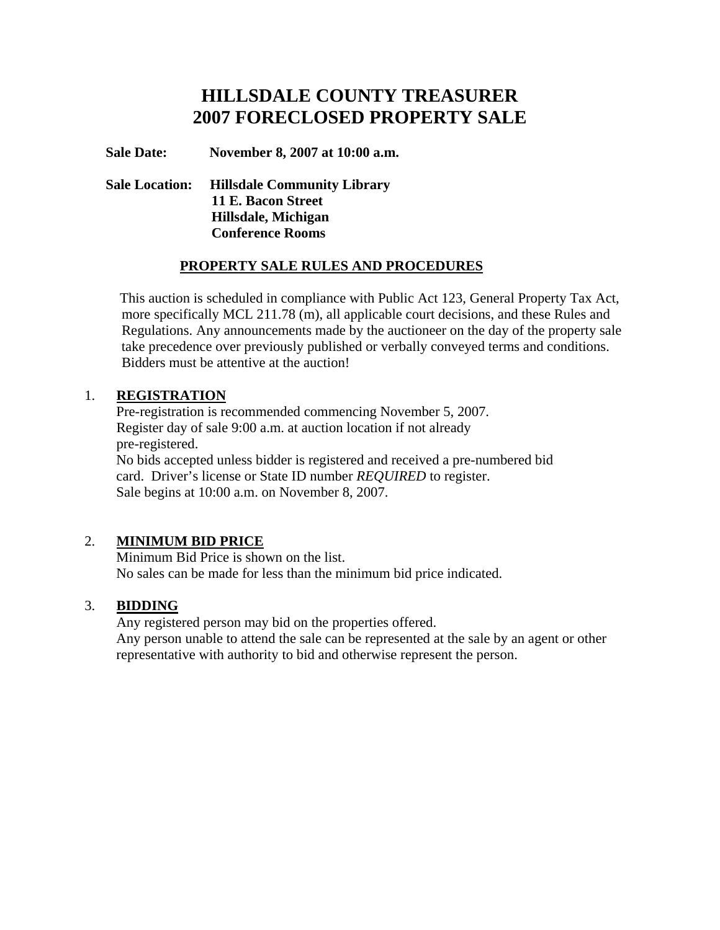# **HILLSDALE COUNTY TREASURER 2007 FORECLOSED PROPERTY SALE**

#### **Sale Date: November 8, 2007 at 10:00 a.m.**

## **Sale Location: Hillsdale Community Library 11 E. Bacon Street Hillsdale, Michigan Conference Rooms**

## **PROPERTY SALE RULES AND PROCEDURES**

 This auction is scheduled in compliance with Public Act 123, General Property Tax Act, more specifically MCL 211.78 (m), all applicable court decisions, and these Rules and Regulations. Any announcements made by the auctioneer on the day of the property sale take precedence over previously published or verbally conveyed terms and conditions. Bidders must be attentive at the auction!

#### 1. **REGISTRATION**

 Pre-registration is recommended commencing November 5, 2007. Register day of sale 9:00 a.m. at auction location if not already pre-registered. No bids accepted unless bidder is registered and received a pre-numbered bid card. Driver's license or State ID number *REQUIRED* to register.

Sale begins at 10:00 a.m. on November 8, 2007.

# 2. **MINIMUM BID PRICE**

 Minimum Bid Price is shown on the list. No sales can be made for less than the minimum bid price indicated.

#### 3. **BIDDING**

 Any registered person may bid on the properties offered. Any person unable to attend the sale can be represented at the sale by an agent or other representative with authority to bid and otherwise represent the person.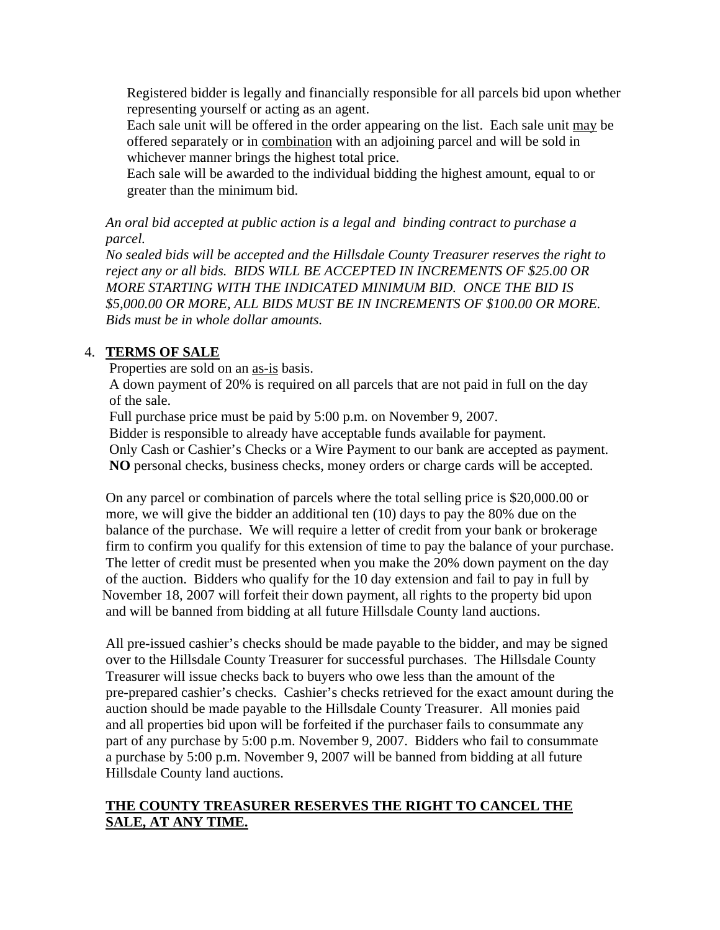Registered bidder is legally and financially responsible for all parcels bid upon whether representing yourself or acting as an agent.

 Each sale unit will be offered in the order appearing on the list. Each sale unit may be offered separately or in combination with an adjoining parcel and will be sold in whichever manner brings the highest total price.

 Each sale will be awarded to the individual bidding the highest amount, equal to or greater than the minimum bid.

*An oral bid accepted at public action is a legal and binding contract to purchase a parcel.* 

*No sealed bids will be accepted and the Hillsdale County Treasurer reserves the right to reject any or all bids. BIDS WILL BE ACCEPTED IN INCREMENTS OF \$25.00 OR MORE STARTING WITH THE INDICATED MINIMUM BID. ONCE THE BID IS \$5,000.00 OR MORE, ALL BIDS MUST BE IN INCREMENTS OF \$100.00 OR MORE. Bids must be in whole dollar amounts.*

# 4. **TERMS OF SALE**

Properties are sold on an as-is basis.

 A down payment of 20% is required on all parcels that are not paid in full on the day of the sale.

Full purchase price must be paid by 5:00 p.m. on November 9, 2007.

Bidder is responsible to already have acceptable funds available for payment.

 Only Cash or Cashier's Checks or a Wire Payment to our bank are accepted as payment. **NO** personal checks, business checks, money orders or charge cards will be accepted.

On any parcel or combination of parcels where the total selling price is \$20,000.00 or more, we will give the bidder an additional ten (10) days to pay the 80% due on the balance of the purchase. We will require a letter of credit from your bank or brokerage firm to confirm you qualify for this extension of time to pay the balance of your purchase. The letter of credit must be presented when you make the 20% down payment on the day of the auction. Bidders who qualify for the 10 day extension and fail to pay in full by November 18, 2007 will forfeit their down payment, all rights to the property bid upon and will be banned from bidding at all future Hillsdale County land auctions.

 All pre-issued cashier's checks should be made payable to the bidder, and may be signed over to the Hillsdale County Treasurer for successful purchases. The Hillsdale County Treasurer will issue checks back to buyers who owe less than the amount of the pre-prepared cashier's checks. Cashier's checks retrieved for the exact amount during the auction should be made payable to the Hillsdale County Treasurer. All monies paid and all properties bid upon will be forfeited if the purchaser fails to consummate any part of any purchase by 5:00 p.m. November 9, 2007. Bidders who fail to consummate a purchase by 5:00 p.m. November 9, 2007 will be banned from bidding at all future Hillsdale County land auctions.

## **THE COUNTY TREASURER RESERVES THE RIGHT TO CANCEL THE SALE, AT ANY TIME.**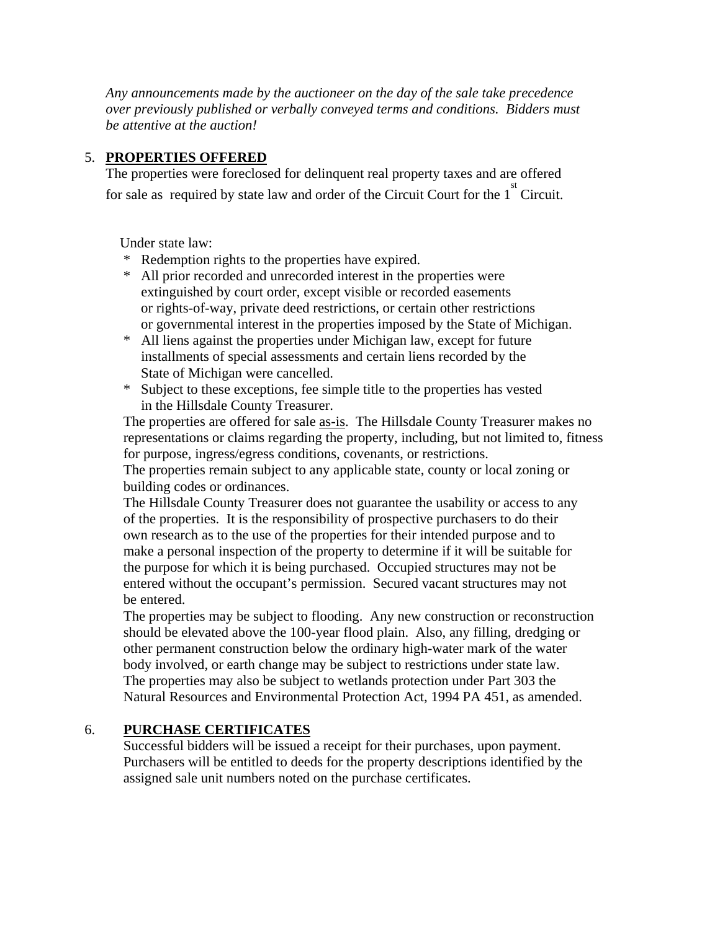*Any announcements made by the auctioneer on the day of the sale take precedence over previously published or verbally conveyed terms and conditions. Bidders must be attentive at the auction!* 

#### 5. **PROPERTIES OFFERED**

 The properties were foreclosed for delinquent real property taxes and are offered for sale as required by state law and order of the Circuit Court for the  $1<sup>st</sup>$  Circuit.

Under state law:

- \* Redemption rights to the properties have expired.
- \* All prior recorded and unrecorded interest in the properties were extinguished by court order, except visible or recorded easements or rights-of-way, private deed restrictions, or certain other restrictions or governmental interest in the properties imposed by the State of Michigan.
- \* All liens against the properties under Michigan law, except for future installments of special assessments and certain liens recorded by the State of Michigan were cancelled.
- \* Subject to these exceptions, fee simple title to the properties has vested in the Hillsdale County Treasurer.

The properties are offered for sale <u>as-is</u>. The Hillsdale County Treasurer makes no representations or claims regarding the property, including, but not limited to, fitness for purpose, ingress/egress conditions, covenants, or restrictions.

The properties remain subject to any applicable state, county or local zoning or building codes or ordinances.

The Hillsdale County Treasurer does not guarantee the usability or access to any of the properties. It is the responsibility of prospective purchasers to do their own research as to the use of the properties for their intended purpose and to make a personal inspection of the property to determine if it will be suitable for the purpose for which it is being purchased. Occupied structures may not be entered without the occupant's permission. Secured vacant structures may not be entered.

The properties may be subject to flooding. Any new construction or reconstruction should be elevated above the 100-year flood plain. Also, any filling, dredging or other permanent construction below the ordinary high-water mark of the water body involved, or earth change may be subject to restrictions under state law. The properties may also be subject to wetlands protection under Part 303 the Natural Resources and Environmental Protection Act, 1994 PA 451, as amended.

# 6. **PURCHASE CERTIFICATES**

 Successful bidders will be issued a receipt for their purchases, upon payment. Purchasers will be entitled to deeds for the property descriptions identified by the assigned sale unit numbers noted on the purchase certificates.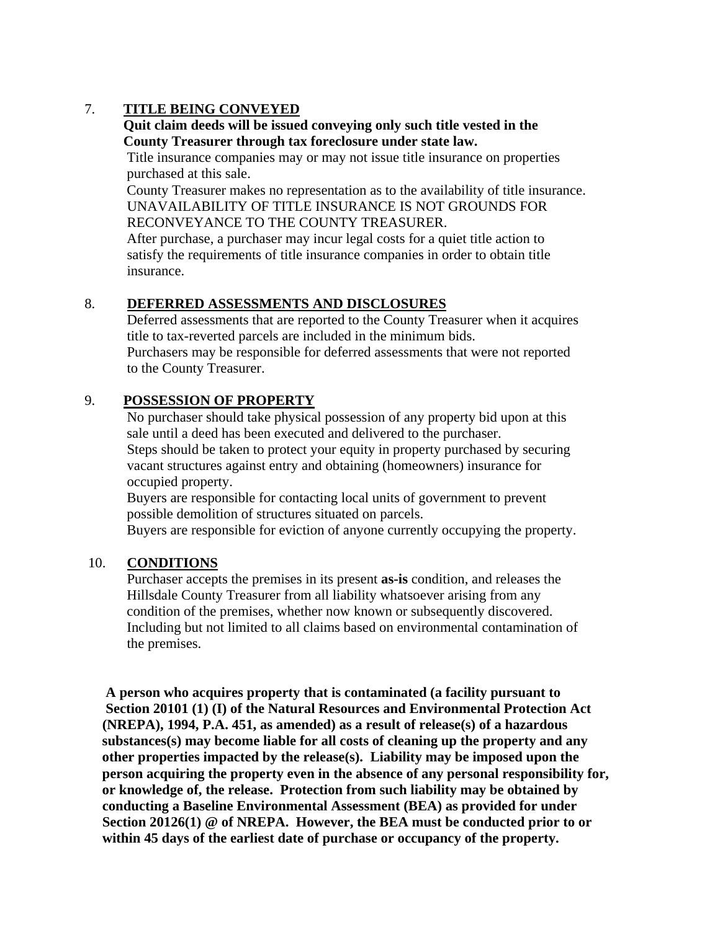# 7. **TITLE BEING CONVEYED**

#### **Quit claim deeds will be issued conveying only such title vested in the County Treasurer through tax foreclosure under state law.**

Title insurance companies may or may not issue title insurance on properties purchased at this sale.

 County Treasurer makes no representation as to the availability of title insurance. UNAVAILABILITY OF TITLE INSURANCE IS NOT GROUNDS FOR RECONVEYANCE TO THE COUNTY TREASURER.

 After purchase, a purchaser may incur legal costs for a quiet title action to satisfy the requirements of title insurance companies in order to obtain title insurance.

#### 8. **DEFERRED ASSESSMENTS AND DISCLOSURES**

Deferred assessments that are reported to the County Treasurer when it acquires title to tax-reverted parcels are included in the minimum bids.

 Purchasers may be responsible for deferred assessments that were not reported to the County Treasurer.

## 9. **POSSESSION OF PROPERTY**

 No purchaser should take physical possession of any property bid upon at this sale until a deed has been executed and delivered to the purchaser. Steps should be taken to protect your equity in property purchased by securing vacant structures against entry and obtaining (homeowners) insurance for occupied property.

 Buyers are responsible for contacting local units of government to prevent possible demolition of structures situated on parcels.

Buyers are responsible for eviction of anyone currently occupying the property.

#### 10. **CONDITIONS**

 Purchaser accepts the premises in its present **as-is** condition, and releases the Hillsdale County Treasurer from all liability whatsoever arising from any condition of the premises, whether now known or subsequently discovered. Including but not limited to all claims based on environmental contamination of the premises.

 **A person who acquires property that is contaminated (a facility pursuant to Section 20101 (1) (I) of the Natural Resources and Environmental Protection Act (NREPA), 1994, P.A. 451, as amended) as a result of release(s) of a hazardous substances(s) may become liable for all costs of cleaning up the property and any other properties impacted by the release(s). Liability may be imposed upon the person acquiring the property even in the absence of any personal responsibility for, or knowledge of, the release. Protection from such liability may be obtained by conducting a Baseline Environmental Assessment (BEA) as provided for under Section 20126(1) @ of NREPA. However, the BEA must be conducted prior to or within 45 days of the earliest date of purchase or occupancy of the property.**